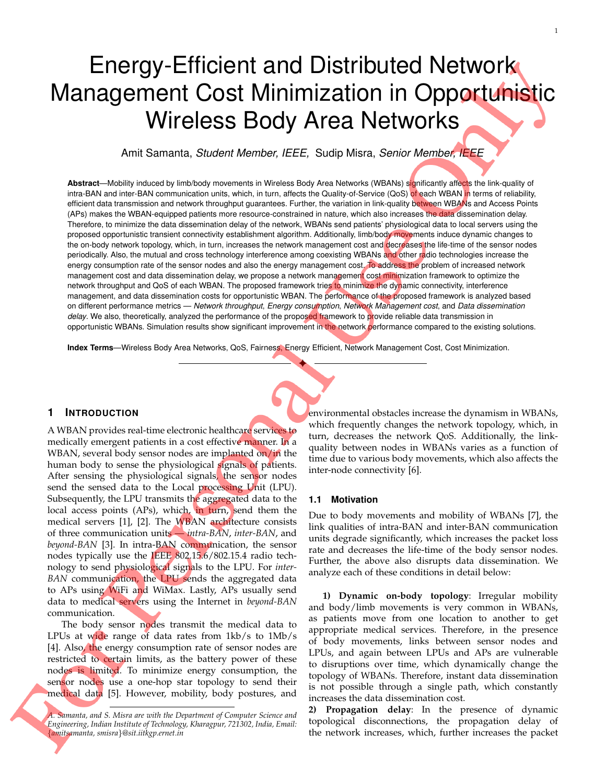# Energy-Efficient and Distributed Network Management Cost Minimization in Opportunistic Wireless Body Area Networks

Amit Samanta, *Student Member, IEEE,* Sudip Misra, *Senior Member, IEEE*

Abstract—Mobility induced by limb/body movements in Wireless Body Area Networks (WBANs) significantly affects the link-quality of intra-BAN and inter-BAN communication units, which, in turn, affects the Quality-of-Service (QoS) of each WBAN in terms of reliability, efficient data transmission and network throughput guarantees. Further, the variation in link-quality between WBANs and Access Points (APs) makes the WBAN-equipped patients more resource-constrained in nature, which also increases the data dissemination delay. Therefore, to minimize the data dissemination delay of the network, WBANs send patients' physiological data to local servers using the proposed opportunistic transient connectivity establishment algorithm. Additionally, limb/body movements induce dynamic changes to the on-body network topology, which, in turn, increases the network management cost and decreases the life-time of the sensor nodes periodically. Also, the mutual and cross technology interference among coexisting WBANs and other radio technologies increase the energy consumption rate of the sensor nodes and also the energy management cost. To address the problem of increased network management cost and data dissemination delay, we propose a network management cost minimization framework to optimize the network throughput and QoS of each WBAN. The proposed framework tries to minimize the dynamic connectivity, interference management, and data dissemination costs for opportunistic WBAN. The performance of the proposed framework is analyzed based on different performance metrics — *Network throughput*, *Energy consumption*, *Network Management cost*, and *Data dissemination delay*. We also, theoretically, analyzed the performance of the proposed framework to provide reliable data transmission in opportunistic WBANs. Simulation results show significant improvement in the network performance compared to the existing solutions.

**Index Terms**—Wireless Body Area Networks, QoS, Fairness, Energy Efficient, Network Management Cost, Cost Minimization.

✦

## **1 INTRODUCTION**

A WBAN provides real-time electronic healthcare services to medically emergent patients in a cost effective manner. In a WBAN, several body sensor nodes are implanted on/in the human body to sense the physiological signals of patients. After sensing the physiological signals, the sensor nodes send the sensed data to the Local processing Unit (LPU). Subsequently, the LPU transmits the aggregated data to the local access points (APs), which, in turn, send them the medical servers [1], [2]. The WBAN architecture consists of three communication units — *intra-BAN*, *inter-BAN*, and *beyond-BAN* [3]. In intra-BAN communication, the sensor nodes typically use the IEEE 802.15.6/802.15.4 radio technology to send physiological signals to the LPU. For *inter-BAN* communication, the LPU sends the aggregated data to APs using WiFi and WiMax. Lastly, APs usually send data to medical servers using the Internet in *beyond-BAN* communication.

The body sensor nodes transmit the medical data to LPUs at wide range of data rates from 1kb/s to 1Mb/s [4]. Also, the energy consumption rate of sensor nodes are restricted to certain limits, as the battery power of these nodes is limited. To minimize energy consumption, the sensor nodes use a one-hop star topology to send their medical data [5]. However, mobility, body postures, and environmental obstacles increase the dynamism in WBANs, which frequently changes the network topology, which, in turn, decreases the network QoS. Additionally, the linkquality between nodes in WBANs varies as a function of time due to various body movements, which also affects the inter-node connectivity [6].

#### **1.1 Motivation**

Due to body movements and mobility of WBANs [7], the link qualities of intra-BAN and inter-BAN communication units degrade significantly, which increases the packet loss rate and decreases the life-time of the body sensor nodes. Further, the above also disrupts data dissemination. We analyze each of these conditions in detail below:

**1) Dynamic on-body topology**: Irregular mobility and body/limb movements is very common in WBANs, as patients move from one location to another to get appropriate medical services. Therefore, in the presence of body movements, links between sensor nodes and LPUs, and again between LPUs and APs are vulnerable to disruptions over time, which dynamically change the topology of WBANs. Therefore, instant data dissemination is not possible through a single path, which constantly increases the data dissemination cost.

**2) Propagation delay**: In the presence of dynamic topological disconnections, the propagation delay of the network increases, which, further increases the packet

*A. Samanta, and S. Misra are with the Department of Computer Science and Engineering, Indian Institute of Technology, Kharagpur, 721302, India, Email:* {*amitsamanta, smisra*}*@sit.iitkgp.ernet.in*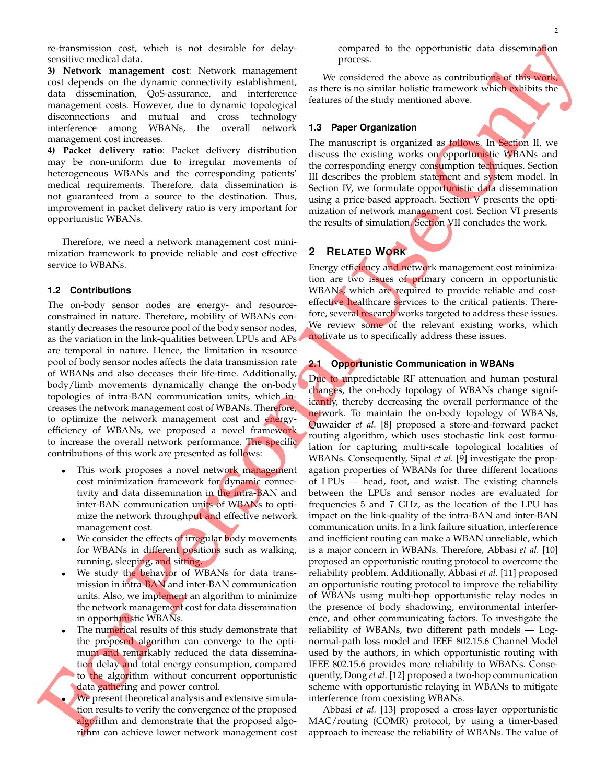re-transmission cost, which is not desirable for delaysensitive medical data.

**3) Network management cost**: Network management cost depends on the dynamic connectivity establishment, data dissemination, QoS-assurance, and interference management costs. However, due to dynamic topological disconnections and mutual and cross technology interference among WBANs, the overall network management cost increases.

**4) Packet delivery ratio**: Packet delivery distribution may be non-uniform due to irregular movements of heterogeneous WBANs and the corresponding patients' medical requirements. Therefore, data dissemination is not guaranteed from a source to the destination. Thus, improvement in packet delivery ratio is very important for opportunistic WBANs.

Therefore, we need a network management cost minimization framework to provide reliable and cost effective service to WBANs.

#### **1.2 Contributions**

The on-body sensor nodes are energy- and resourceconstrained in nature. Therefore, mobility of WBANs constantly decreases the resource pool of the body sensor nodes, as the variation in the link-qualities between LPUs and APs are temporal in nature. Hence, the limitation in resource pool of body sensor nodes affects the data transmission rate of WBANs and also deceases their life-time. Additionally, body/limb movements dynamically change the on-body topologies of intra-BAN communication units, which increases the network management cost of WBANs. Therefore, to optimize the network management cost and energyefficiency of WBANs, we proposed a novel framework to increase the overall network performance. The specific contributions of this work are presented as follows:

- This work proposes a novel network management cost minimization framework for dynamic connectivity and data dissemination in the intra-BAN and inter-BAN communication units of WBANs to optimize the network throughput and effective network management cost.
- We consider the effects of irregular body movements for WBANs in different positions such as walking, running, sleeping, and sitting.
- We study the behavior of WBANs for data transmission in intra-BAN and inter-BAN communication units. Also, we implement an algorithm to minimize the network management cost for data dissemination in opportunistic WBANs.
- The numerical results of this study demonstrate that the proposed algorithm can converge to the optimum and remarkably reduced the data dissemination delay and total energy consumption, compared to the algorithm without concurrent opportunistic data gathering and power control.
- We present theoretical analysis and extensive simulation results to verify the convergence of the proposed algorithm and demonstrate that the proposed algorithm can achieve lower network management cost

compared to the opportunistic data dissemination process.

We considered the above as contributions of this work, as there is no similar holistic framework which exhibits the features of the study mentioned above.

#### **1.3 Paper Organization**

The manuscript is organized as follows. In Section II, we discuss the existing works on opportunistic WBANs and the corresponding energy consumption techniques. Section III describes the problem statement and system model. In Section IV, we formulate opportunistic data dissemination using a price-based approach. Section V presents the optimization of network management cost. Section VI presents the results of simulation. Section VII concludes the work.

# **2 RELATED WORK**

Energy efficiency and network management cost minimization are two issues of primary concern in opportunistic WBANs, which are required to provide reliable and costeffective healthcare services to the critical patients. Therefore, several research works targeted to address these issues. We review some of the relevant existing works, which motivate us to specifically address these issues.

#### **2.1 Opportunistic Communication in WBANs**

Due to unpredictable RF attenuation and human postural changes, the on-body topology of WBANs change significantly, thereby decreasing the overall performance of the network. To maintain the on-body topology of WBANs, Quwaider *et al.* [8] proposed a store-and-forward packet routing algorithm, which uses stochastic link cost formulation for capturing multi-scale topological localities of WBANs. Consequently, Sipal *et al.* [9] investigate the propagation properties of WBANs for three different locations of LPUs — head, foot, and waist. The existing channels between the LPUs and sensor nodes are evaluated for frequencies 5 and 7 GHz, as the location of the LPU has impact on the link-quality of the intra-BAN and inter-BAN communication units. In a link failure situation, interference and inefficient routing can make a WBAN unreliable, which is a major concern in WBANs. Therefore, Abbasi *et al.* [10] proposed an opportunistic routing protocol to overcome the reliability problem. Additionally, Abbasi *et al.* [11] proposed an opportunistic routing protocol to improve the reliability of WBANs using multi-hop opportunistic relay nodes in the presence of body shadowing, environmental interference, and other communicating factors. To investigate the reliability of WBANs, two different path models — Lognormal-path loss model and IEEE 802.15.6 Channel Model used by the authors, in which opportunistic routing with IEEE 802.15.6 provides more reliability to WBANs. Consequently, Dong *et al.* [12] proposed a two-hop communication scheme with opportunistic relaying in WBANs to mitigate interference from coexisting WBANs.

Abbasi *et al.* [13] proposed a cross-layer opportunistic MAC/routing (COMR) protocol, by using a timer-based approach to increase the reliability of WBANs. The value of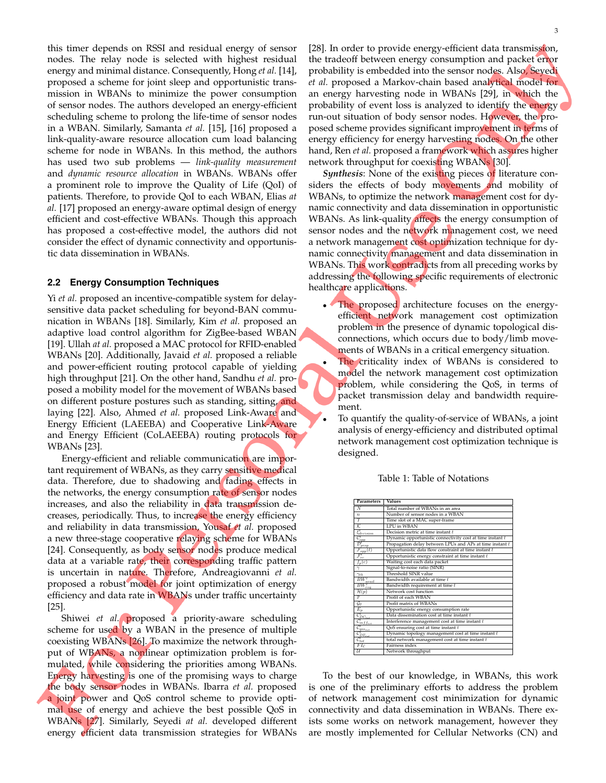this timer depends on RSSI and residual energy of sensor nodes. The relay node is selected with highest residual energy and minimal distance. Consequently, Hong *et al.* [14], proposed a scheme for joint sleep and opportunistic transmission in WBANs to minimize the power consumption of sensor nodes. The authors developed an energy-efficient scheduling scheme to prolong the life-time of sensor nodes in a WBAN. Similarly, Samanta *et al.* [15], [16] proposed a link-quality-aware resource allocation cum load balancing scheme for node in WBANs. In this method, the authors has used two sub problems — *link-quality measurement* and *dynamic resource allocation* in WBANs. WBANs offer a prominent role to improve the Quality of Life (QoI) of patients. Therefore, to provide QoI to each WBAN, Elias *at al.* [17] proposed an energy-aware optimal design of energy efficient and cost-effective WBANs. Though this approach has proposed a cost-effective model, the authors did not consider the effect of dynamic connectivity and opportunistic data dissemination in WBANs.

#### **2.2 Energy Consumption Techniques**

Yi *et al.* proposed an incentive-compatible system for delaysensitive data packet scheduling for beyond-BAN communication in WBANs [18]. Similarly, Kim *et al.* proposed an adaptive load control algorithm for ZigBee-based WBAN [19]. Ullah *at al.* proposed a MAC protocol for RFID-enabled WBANs [20]. Additionally, Javaid *et al.* proposed a reliable and power-efficient routing protocol capable of yielding high throughput [21]. On the other hand, Sandhu *et al.* proposed a mobility model for the movement of WBANs based on different posture postures such as standing, sitting, and laying [22]. Also, Ahmed *et al.* proposed Link-Aware and Energy Efficient (LAEEBA) and Cooperative Link-Aware and Energy Efficient (CoLAEEBA) routing protocols for WBANs [23].

Energy-efficient and reliable communication are important requirement of WBANs, as they carry sensitive medical data. Therefore, due to shadowing and fading effects in the networks, the energy consumption rate of sensor nodes increases, and also the reliability in data transmission decreases, periodically. Thus, to increase the energy efficiency and reliability in data transmission, Yousaf *et al.* proposed a new three-stage cooperative relaying scheme for WBANs [24]. Consequently, as body sensor nodes produce medical data at a variable rate, their corresponding traffic pattern is uncertain in nature. Therefore, Andreagiovanni *et al.* proposed a robust model for joint optimization of energy efficiency and data rate in WBANs under traffic uncertainty [25].

Shiwei *et al.* proposed a priority-aware scheduling scheme for used by a WBAN in the presence of multiple coexisting WBANs [26]. To maximize the network throughput of WBANs, a nonlinear optimization problem is formulated, while considering the priorities among WBANs. Energy harvesting is one of the promising ways to charge the body sensor nodes in WBANs. Ibarra *et al.* proposed a joint power and QoS control scheme to provide optimal use of energy and achieve the best possible QoS in WBANs [27]. Similarly, Seyedi *at al.* developed different energy efficient data transmission strategies for WBANs

[28]. In order to provide energy-efficient data transmission, the tradeoff between energy consumption and packet error probability is embedded into the sensor nodes. Also, Seyedi *et al.* proposed a Markov-chain based analytical model for an energy harvesting node in WBANs [29], in which the probability of event loss is analyzed to identify the energy run-out situation of body sensor nodes. However, the proposed scheme provides significant improvement in terms of energy efficiency for energy harvesting nodes. On the other hand, Ren *et al.* proposed a framework which assures higher network throughput for coexisting WBANs [30].

*Synthesis*: None of the existing pieces of literature considers the effects of body movements and mobility of WBANs, to optimize the network management cost for dynamic connectivity and data dissemination in opportunistic WBANs. As link-quality affects the energy consumption of sensor nodes and the network management cost, we need a network management cost optimization technique for dynamic connectivity management and data dissemination in WBANs. This work contradicts from all preceding works by addressing the following specific requirements of electronic healthcare applications.

- The proposed architecture focuses on the energyefficient network management cost optimization problem in the presence of dynamic topological disconnections, which occurs due to body/limb movements of WBANs in a critical emergency situation.
	- The criticality index of WBANs is considered to model the network management cost optimization problem, while considering the QoS, in terms of packet transmission delay and bandwidth requirement.
	- To quantify the quality-of-service of WBANs, a joint analysis of energy-efficiency and distributed optimal network management cost optimization technique is designed.



Table 1: Table of Notations

To the best of our knowledge, in WBANs, this work is one of the preliminary efforts to address the problem of network management cost minimization for dynamic connectivity and data dissemination in WBANs. There exists some works on network management, however they are mostly implemented for Cellular Networks (CN) and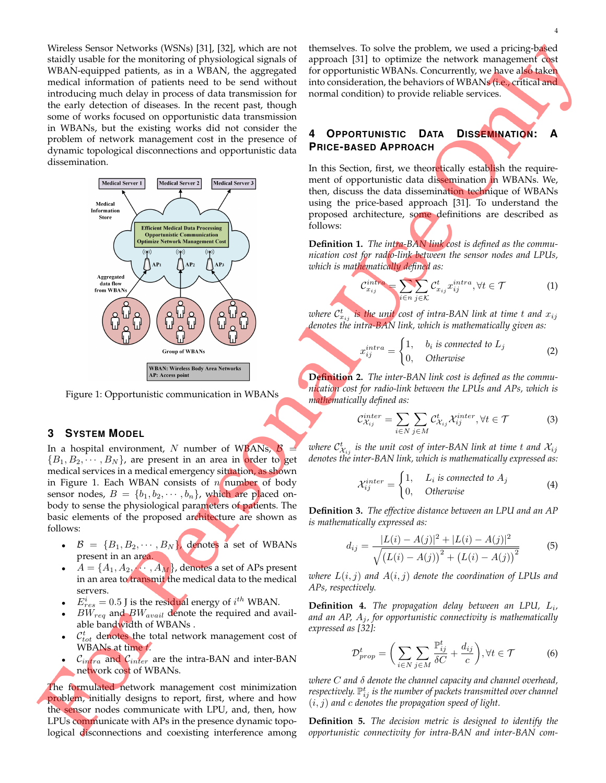Wireless Sensor Networks (WSNs) [31], [32], which are not staidly usable for the monitoring of physiological signals of WBAN-equipped patients, as in a WBAN, the aggregated medical information of patients need to be send without introducing much delay in process of data transmission for the early detection of diseases. In the recent past, though some of works focused on opportunistic data transmission in WBANs, but the existing works did not consider the problem of network management cost in the presence of dynamic topological disconnections and opportunistic data dissemination.



Figure 1: Opportunistic communication in WBANs

### **3 SYSTEM MODEL**

In a hospital environment, N number of WBANs,  $\beta$  ${B_1, B_2, \cdots, B_N}$ , are present in an area in order to get medical services in a medical emergency situation, as shown in Figure 1. Each WBAN consists of  $n$  number of body sensor nodes,  $B = \{b_1, b_2, \dots, b_n\}$ , which are placed onbody to sense the physiological parameters of patients. The basic elements of the proposed architecture are shown as follows:

- $\mathcal{B} = \{B_1, B_2, \cdots, B_N\}$ , denotes a set of WBANs present in an area.
- $A = \{A_1, A_2, \dots, A_M\}$ , denotes a set of APs present in an area to transmit the medical data to the medical servers.
- $E_{res}^i = 0.5$  J is the residual energy of  $i^{th}$  WBAN.
- $BW_{req}$  and  $BW_{avail}$  denote the required and available bandwidth of WBANs .
- $\cdot$   $\mathcal{C}_{tot}^{t}$  denotes the total network management cost of WBANs at time t.
- $\mathcal{C}_{intra}$  and  $\mathcal{C}_{inter}$  are the intra-BAN and inter-BAN network cost of WBANs.

The formulated network management cost minimization **problem**, initially designs to report, first, where and how the sensor nodes communicate with LPU, and, then, how LPUs communicate with APs in the presence dynamic topological disconnections and coexisting interference among themselves. To solve the problem, we used a pricing-based approach [31] to optimize the network management cost for opportunistic WBANs. Concurrently, we have also taken into consideration, the behaviors of WBANs (i.e., critical and normal condition) to provide reliable services.

# **4 OPPORTUNISTIC DATA DISSEMINATION: A PRICE-BASED APPROACH**

In this Section, first, we theoretically establish the requirement of opportunistic data dissemination in WBANs. We, then, discuss the data dissemination technique of WBANs using the price-based approach [31]. To understand the proposed architecture, some definitions are described as follows:

**Definition 1.** *The intra-BAN link cost is defined as the communication cost for radio-link between the sensor nodes and LPUs, which is mathematically defined as:*

$$
\frac{\text{intra}}{\text{x}_{ij}} = \sum_{i \in n} \sum_{j \in \mathcal{K}} \mathcal{C}_{x_{ij}}^t x_{ij}^{\text{intra}}, \forall t \in \mathcal{T} \tag{1}
$$

where  $\mathcal{C}_{x_{ij}}^t$  is the unit cost of intra-BAN link at time  $t$  and  $x_{ij}$ *denotes the intra-BAN link, which is mathematically given as:*

 $\mathcal{C}_{0}^{0}$ 

$$
x_{ij}^{intra} = \begin{cases} 1, & b_i \text{ is connected to } L_j \\ 0, & Otherwise \end{cases}
$$
 (2)

**Definition 2.** *The inter-BAN link cost is defined as the communication cost for radio-link between the LPUs and APs, which is mathematically defined as:*

$$
\mathcal{C}_{\mathcal{X}_{ij}}^{inter} = \sum_{i \in N} \sum_{j \in M} \mathcal{C}_{\mathcal{X}_{ij}}^{t} \mathcal{X}_{ij}^{inter}, \forall t \in \mathcal{T}
$$
 (3)

where  $\mathcal{C}^t_{\mathcal{X}_{ij}}$  is the unit cost of inter-BAN link at time  $t$  and  $\mathcal{X}_{ij}$ *denotes the inter-BAN link, which is mathematically expressed as:*

$$
\mathcal{X}_{ij}^{inter} = \begin{cases} 1, & L_i \text{ is connected to } A_j \\ 0, & Otherwise \end{cases} \tag{4}
$$

**Definition 3.** *The effective distance between an LPU and an AP is mathematically expressed as:*

$$
d_{ij} = \frac{|L(i) - A(j)|^2 + |L(i) - A(j)|^2}{\sqrt{(L(i) - A(j))^2 + (L(i) - A(j))^2}}
$$
(5)

*where*  $L(i, j)$  and  $A(i, j)$  denote the coordination of LPUs and *APs, respectively.*

**Definition 4.** *The propagation delay between an LPU,* L<sup>i</sup> *,* and an  $AP$ ,  $A_i$ , for opportunistic connectivity is mathematically *expressed as [32]:*

$$
\mathcal{D}_{prop}^t = \bigg(\sum_{i \in N} \sum_{j \in M} \frac{\mathbb{P}_{ij}^t}{\delta C} + \frac{d_{ij}}{c}\bigg), \forall t \in \mathcal{T} \tag{6}
$$

*where* C *and* δ *denote the channel capacity and channel overhead,* respectively.  $\mathbb{P}^t_{ij}$  is the number of packets transmitted over channel (i, j) *and* c *denotes the propagation speed of light.*

**Definition 5.** *The decision metric is designed to identify the opportunistic connectivity for intra-BAN and inter-BAN com-*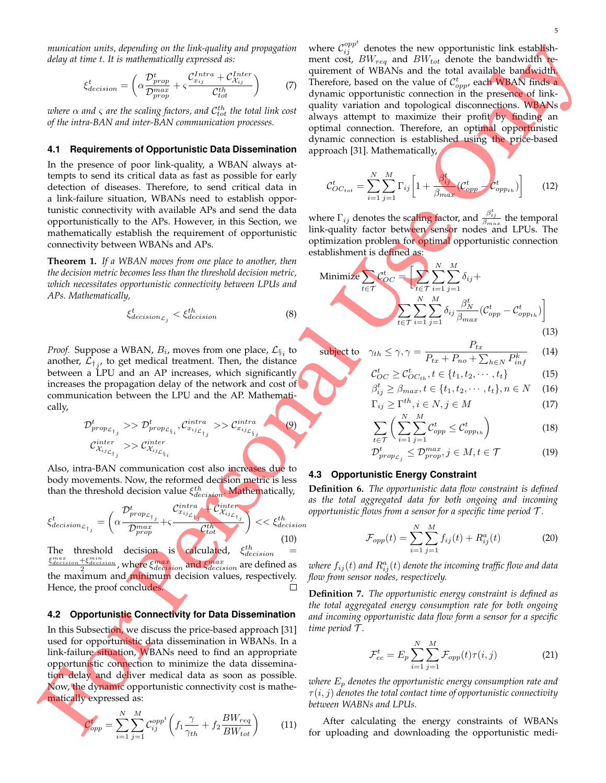*munication units, depending on the link-quality and propagation delay at time* t*. It is mathematically expressed as:*

$$
\xi_{decision}^t = \left(\alpha \frac{\mathcal{D}_{prop}^t}{\mathcal{D}_{prop}^{max}} + \varsigma \frac{\mathcal{C}_{x_{ij}}^{Intra} + \mathcal{C}_{\mathcal{X}_{ij}}^{Inter}}{\mathcal{C}_{tot}^{th}}\right) \tag{7}
$$

where  $\alpha$  and  $\varsigma$  are the scaling factors, and  $\mathcal{C}^{th}_{tot}$  the total link cost *of the intra-BAN and inter-BAN communication processes.*

#### **4.1 Requirements of Opportunistic Data Dissemination**

In the presence of poor link-quality, a WBAN always attempts to send its critical data as fast as possible for early detection of diseases. Therefore, to send critical data in a link-failure situation, WBANs need to establish opportunistic connectivity with available APs and send the data opportunistically to the APs. However, in this Section, we mathematically establish the requirement of opportunistic connectivity between WBANs and APs.

**Theorem 1.** *If a WBAN moves from one place to another, then the decision metric becomes less than the threshold decision metric, which necessitates opportunistic connectivity between LPUs and APs. Mathematically,*

$$
\xi_{decision_{\mathcal{L}_j}}^t < \xi_{decision}^{th} \tag{8}
$$

*Proof.* Suppose a WBAN,  $B_i$ , moves from one place,  $\mathcal{L}_{\S_i}$  to another,  $\mathcal{L}_{\dagger j}$ , to get medical treatment. Then, the distance between a LPU and an AP increases, which significantly increases the propagation delay of the network and cost of communication between the LPU and the AP. Mathematically,

$$
\mathcal{D}_{prop_{\mathcal{L}_{\tau_j}}}^t \gg \mathcal{D}_{prop_{\mathcal{L}_{\S_i}}}^t, \mathcal{C}_{x_{ij_{\mathcal{L}_{\tau_j}}}^{intra}} \gg \mathcal{C}_{x_{ij_{\mathcal{L}_{\S_i}}}^{intra}}
$$
\n
$$
\mathcal{C}_{x_{ij_{\mathcal{L}_{\tau_j}}}^{inter}}^{inter} \gg \mathcal{C}_{x_{ij_{\mathcal{L}_{\S_i}}}^{inter}}
$$
\n
$$
(9)
$$

Also, intra-BAN communication cost also increases due to body movements. Now, the reformed decision metric is less than the threshold decision value  $\xi_{decision}^{th}$ . Mathematically,

$$
\xi_{decision_{\mathcal{L}_{\dagger_{j}}}}^{t} = \left(\alpha \frac{\mathcal{D}_{prop_{\mathcal{L}_{\dagger_{j}}}}^{t}}{\mathcal{D}_{prop}^{max}} + \varsigma \frac{\mathcal{C}_{x_{ij_{\mathcal{L}_{\dagger_{j}}}}}}^{\text{intra}} + \mathcal{C}_{\mathcal{X}_{ij_{\mathcal{L}_{\dagger_{j}}}}}}^{\text{intra}}\right) << \xi_{decision}^{th} \tag{10}
$$

The threshold decision is calculated,  $\xi_{decision}^{th}$  =  $\frac{d_{\text{decision}} + \xi_{\text{decision}}^{min}}{2}$ , where  $\xi_{\text{decision}}^{max}$  and  $\xi_{\text{decision}}^{max}$  are defined as  $\frac{\xi_{deci}^{max}}{\xi_{deci}}$ the maximum and minimum decision values, respectively. Hence, the proof concludes.  $\Box$ 

#### **4.2 Opportunistic Connectivity for Data Dissemination**

In this Subsection, we discuss the price-based approach [31] used for opportunistic data dissemination in WBANs. In a link-failure situation, WBANs need to find an appropriate opportunistic connection to minimize the data dissemination delay and deliver medical data as soon as possible. Now, the dynamic opportunistic connectivity cost is mathematically expressed as:

$$
\mathcal{C}_{opp}^t = \sum_{i=1}^N \sum_{j=1}^M \mathcal{C}_{ij}^{opp^t} \left( f_1 \frac{\gamma}{\gamma_{th}} + f_2 \frac{BW_{req}}{BW_{tot}} \right) \tag{11}
$$

where  $\mathcal{C}_{ij}^{opp^t}$  denotes the new opportunistic link establishment cost,  $BW_{req}$  and  $BW_{tot}$  denote the bandwidth requirement of WBANs and the total available bandwidth. Therefore, based on the value of  $C_{opp}^t$ , each WBAN finds a dynamic opportunistic connection in the presence of linkquality variation and topological disconnections. WBANs always attempt to maximize their profit by finding an optimal connection. Therefore, an optimal opportunistic dynamic connection is established using the price-based approach [31]. Mathematically,

$$
\mathcal{C}_{OC_{tot}}^t = \sum_{i=1}^N \sum_{j=1}^M \Gamma_{ij} \left[ 1 + \frac{\beta_{ij}^t}{\beta_{max}} (\mathcal{C}_{opp}^t - \mathcal{C}_{opp_{th}}^t) \right]
$$
(12)

where  $\Gamma_{ij}$  denotes the scaling factor, and  $\frac{\beta_{ij}^t}{\beta_{max}}$  the temporal link-quality factor betw<mark>een senso</mark>r nodes and LPUs. The optimization problem for optimal opportunistic connection establishment is defined as:

Minimize 
$$
\sum_{t \in \mathcal{T}} C_{OC}^t = \left[ \sum_{t \in \mathcal{T}} \sum_{i=1}^N \sum_{j=1}^M \delta_{ij} + \sum_{t \in \mathcal{T}} \sum_{i=1}^N \sum_{j=1}^M \delta_{ij} \frac{\beta_N^t}{\beta_{max}} (C_{opp}^t - C_{opp_{th}}^t) \right]
$$
\n(13)

subject to 
$$
\gamma_{th} \leq \gamma, \gamma = \frac{P_{tx}}{P_{tx} + P_{no} + \sum_{h \in N} P_{inf}^k}
$$
 (14)

$$
\mathcal{C}_{OC}^t \ge \mathcal{C}_{OC_{th}}^t, t \in \{t_1, t_2, \cdots, t_t\}
$$
\n
$$
\beta^t \ge \beta \qquad t \in \{t_1, t_2, \cdots, t_t\} \qquad (15)
$$

$$
\beta_{ij}^t \ge \beta_{max}, t \in \{t_1, t_2, \cdots, t_t\}, n \in N \quad (16)
$$

$$
\Gamma_{ij} \ge \Gamma^{th}, i \in N, j \in M \tag{17}
$$

$$
\sum_{t \in \mathcal{T}} \bigg( \sum_{i=1}^{N} \sum_{j=1}^{M} \mathcal{C}_{opp}^{t} \leq \mathcal{C}_{opp_{th}}^{t} \bigg) \tag{18}
$$

$$
\mathcal{D}_{prop_{\mathcal{L}_j}}^t \le \mathcal{D}_{prop}^{max}, j \in M, t \in \mathcal{T}
$$
 (19)

#### **4.3 Opportunistic Energy Constraint**

**Definition 6.** *The opportunistic data flow constraint is defined as the total aggregated data for both ongoing and incoming opportunistic flows from a sensor for a specific time period* T *.*

$$
\mathcal{F}_{opp}(t) = \sum_{i=1}^{N} \sum_{j=1}^{M} f_{ij}(t) + R_{ij}^{a}(t)
$$
 (20)

where  $f_{ij}(t)$  and  $R_{ij}^a(t)$  denote the incoming traffic flow and data *flow from sensor nodes, respectively.*

**Definition 7.** *The opportunistic energy constraint is defined as the total aggregated energy consumption rate for both ongoing and incoming opportunistic data flow form a sensor for a specific time period* T *.*

$$
\mathcal{F}_{ec}^{t} = E_{p} \sum_{i=1}^{N} \sum_{j=1}^{M} \mathcal{F}_{opp}(t) \tau(i, j)
$$
 (21)

*where* E<sup>p</sup> *denotes the opportunistic energy consumption rate and*  $\tau(i,j)$  denotes the total contact time of opportunistic connectivity *between WABNs and LPUs.*

After calculating the energy constraints of WBANs for uploading and downloading the opportunistic medi-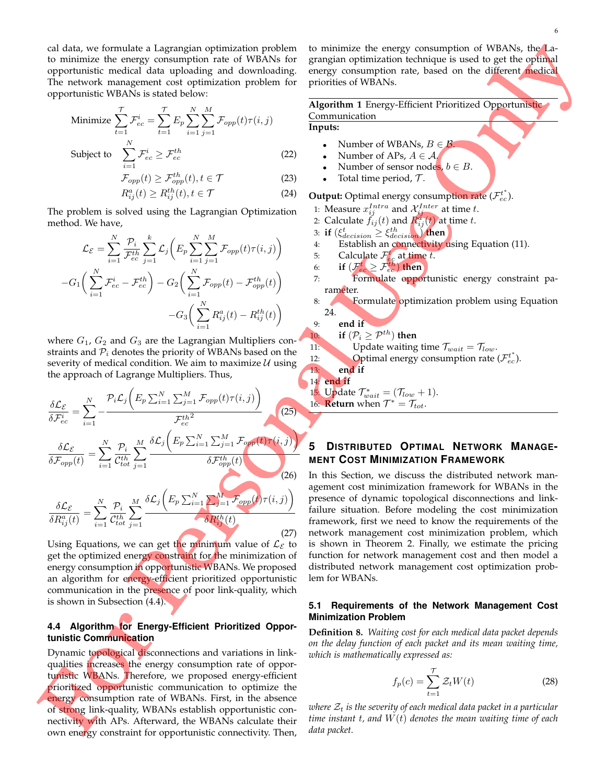cal data, we formulate a Lagrangian optimization problem to minimize the energy consumption rate of WBANs for opportunistic medical data uploading and downloading. The network management cost optimization problem for opportunistic WBANs is stated below:

Minimize 
$$
\sum_{t=1}^{T} \mathcal{F}_{ec}^{i} = \sum_{t=1}^{T} E_p \sum_{i=1}^{N} \sum_{j=1}^{M} \mathcal{F}_{opp}(t) \tau(i, j)
$$
  
Subject to 
$$
\sum_{t=1}^{N} \mathcal{F}_{ec}^{i} \geq \mathcal{F}_{ec}^{th}
$$
(22)

$$
\sum_{i=1}^{}
$$
  $ec =$   $ec$   $($ 

$$
\mathcal{F}_{opp}(t) \ge \mathcal{F}_{opp}^{th}(t), t \in \mathcal{T}
$$
\n(23)

$$
R_{ij}^a(t) \ge R_{ij}^{th}(t), t \in \mathcal{T}
$$
\n(24)

The problem is solved using the Lagrangian Optimization method. We have,

$$
\mathcal{L}_{\mathcal{E}} = \sum_{i=1}^{N} \frac{\mathcal{P}_{i}}{\mathcal{F}_{ec}^{th}} \sum_{j=1}^{k} \mathcal{L}_{j} \left( E_{p} \sum_{i=1}^{N} \sum_{j=1}^{M} \mathcal{F}_{opp}(t) \tau(i,j) \right)
$$

$$
-G_{1} \left( \sum_{i=1}^{N} \mathcal{F}_{ec}^{i} - \mathcal{F}_{ec}^{th} \right) - G_{2} \left( \sum_{i=1}^{N} \mathcal{F}_{opp}(t) - \mathcal{F}_{opp}^{th}(t) \right)
$$

$$
-G_{3} \left( \sum_{i=1}^{N} R_{ij}^{a}(t) - R_{ij}^{th}(t) \right)
$$

where  $G_1$ ,  $G_2$  and  $G_3$  are the Lagrangian Multipliers constraints and  $P_i$  denotes the priority of WBANs based on the severity of medical condition. We aim to maximize  $U$  using the approach of Lagrange Multipliers. Thus,

$$
\frac{\delta \mathcal{L}_{\mathcal{E}}}{\delta \mathcal{F}_{ec}^{i}} = \sum_{i=1}^{N} -\frac{\mathcal{P}_{i} \mathcal{L}_{j} \left( E_{p} \sum_{i=1}^{N} \sum_{j=1}^{M} \mathcal{F}_{opp}(t) \tau(i,j) \right)}{\mathcal{F}_{ec}^{th}} \frac{\delta \mathcal{L}_{\mathcal{E}}}{\delta \mathcal{F}_{opp}(t)} = \sum_{i=1}^{N} \frac{\mathcal{P}_{i}}{\mathcal{C}_{tot}^{th}} \sum_{j=1}^{M} \frac{\delta \mathcal{L}_{j} \left( E_{p} \sum_{i=1}^{N} \sum_{j=1}^{M} \mathcal{F}_{opp}(t) \tau(i,j) \right)}{\delta \mathcal{F}_{opp}^{th}(t)}
$$
\n
$$
\frac{\delta \mathcal{L}_{\mathcal{E}}}{\delta \mathcal{L}_{\mathcal{E}}}} = \sum_{i=1}^{N} \frac{\mathcal{P}_{i}}{\mathcal{P}_{i}} \sum_{i=1}^{M} \frac{\delta \mathcal{L}_{j} \left( E_{p} \sum_{i=1}^{N} \sum_{j=1}^{M} \mathcal{F}_{opp}(t) \tau(i,j) \right)}{\delta \mathcal{L}_{j}} \tag{26}
$$

$$
\frac{\partial Z_{c}}{\partial R_{ij}^{a}(t)} = \sum_{i=1}^{I} \frac{\partial R_{ij}^{t}}{\partial t_{tot}} \sum_{j=1}^{I} \frac{\partial R_{ij}^{t}}{\partial R_{ij}^{t}}(t) \tag{27}
$$

Using Equations, we can get the minimum value of  $\mathcal{L}_{\mathcal{E}}$  to get the optimized energy constraint for the minimization of energy consumption in opportunistic WBANs. We proposed an algorithm for energy-efficient prioritized opportunistic communication in the presence of poor link-quality, which is shown in Subsection (4.4).

## **4.4 Algorithm for Energy-Efficient Prioritized Opportunistic Communication**

Dynamic topological disconnections and variations in linkqualities increases the energy consumption rate of opportunistic WBANs. Therefore, we proposed energy-efficient prioritized opportunistic communication to optimize the energy consumption rate of WBANs. First, in the absence of strong link-quality, WBANs establish opportunistic connectivity with APs. Afterward, the WBANs calculate their own energy constraint for opportunistic connectivity. Then,

to minimize the energy consumption of WBANs, the Lagrangian optimization technique is used to get the optimal energy consumption rate, based on the different medical priorities of WBANs.

**Algorithm 1** Energy-Efficient Prioritized Opportunistic Communication **Inputs:**

- Number of WBANs,  $B \in \mathcal{B}$ .
- Number of APs,  $A \in \mathcal{A}$ .
- Number of sensor nodes,  $b \in B$ .
- Total time period,  $\mathcal{T}$ .

**Output:** Optimal energy consumption rate  $(\mathcal{F}_{ec}^{t^*})$ .

- 1: Measure  $x_{ij}^{Intra}$  and  $\mathcal{X}_{ij}^{Inter}$  at time t.
- 2: Calculate  $\tilde{f}_{ij}(t)$  and  $R_{ij}^a(t)$  at time t.
- 3: **if**  $(\xi_{decision}^t \geq \xi_{decision}^{th})$  then
- 4: Establish an connectivity using Equation (11).
- 5: Calculate  $\mathcal{F}_{ec}^t$  at time t.
- 6: **if**  $(\mathcal{F}_{ec}^t \geq \mathcal{F}_{ec}^{th})$  then
- 7: Formulate opportunistic energy constraint parameter.
- 8: **Formulate** optimization problem using Equation 24.

9: **end if**

10: **if**  $(\mathcal{P}_i \geq \mathcal{P}^{th})$  **then** 

11: Update waiting time 
$$
\mathcal{T}_{wait} = \mathcal{T}_{low}
$$
.  
\n12: Optimal energy consumption rate ( $\mathcal{F}^{t*}$ )

12: Optimal energy consumption rate (
$$
\mathcal{F}_{ec}^{t^*}
$$
).

#### 13: **end if** 14: **end if**

1<mark>5. Update  $\mathcal{T}^*_{wait} = (\mathcal{T}_{low} + 1)$ .</mark>

16: **Return** when  $T^* = T_{tot}$ .

# **5 DISTRIBUTED OPTIMAL NETWORK MANAGE-MENT COST MINIMIZATION FRAMEWORK**

In this Section, we discuss the distributed network management cost minimization framework for WBANs in the presence of dynamic topological disconnections and linkfailure situation. Before modeling the cost minimization framework, first we need to know the requirements of the network management cost minimization problem, which is shown in Theorem 2. Finally, we estimate the pricing function for network management cost and then model a distributed network management cost optimization problem for WBANs.

## **5.1 Requirements of the Network Management Cost Minimization Problem**

**Definition 8.** *Waiting cost for each medical data packet depends on the delay function of each packet and its mean waiting time, which is mathematically expressed as:*

$$
f_p(c) = \sum_{t=1}^{T} \mathcal{Z}_t W(t)
$$
 (28)

*where*  $Z_t$  *is the severity of each medical data packet in a particular time instant* t*, and* W(t) *denotes the mean waiting time of each data packet.*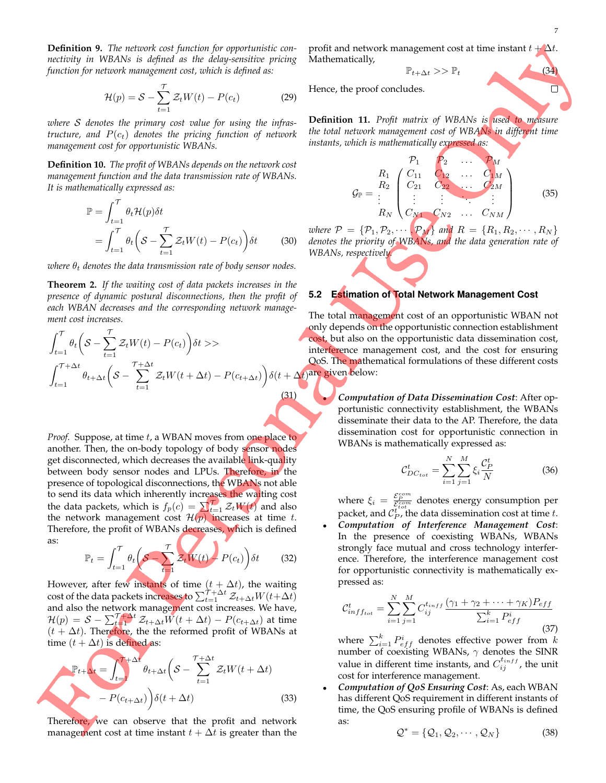**Definition 9.** *The network cost function for opportunistic connectivity in WBANs is defined as the delay-sensitive pricing function for network management cost, which is defined as:*

$$
\mathcal{H}(p) = \mathcal{S} - \sum_{t=1}^{\mathcal{T}} \mathcal{Z}_t W(t) - P(c_t)
$$
 (29)

*where* S *denotes the primary cost value for using the infrastructure, and*  $P(c_t)$  *denotes the pricing function of network management cost for opportunistic WBANs.*

**Definition 10.** *The profit of WBANs depends on the network cost management function and the data transmission rate of WBANs. It is mathematically expressed as:*

$$
\mathbb{P} = \int_{t=1}^{T} \theta_t \mathcal{H}(p) \delta t
$$
  
= 
$$
\int_{t=1}^{T} \theta_t \left( \mathcal{S} - \sum_{t=1}^{T} \mathcal{Z}_t W(t) - P(c_t) \right) \delta t
$$
 (30)

*where*  $\theta_t$  *denotes the data transmission rate of body sensor nodes.* 

**Theorem 2.** *If the waiting cost of data packets increases in the presence of dynamic postural disconnections, then the profit of each WBAN decreases and the corresponding network management cost increases.*

$$
\int_{t=1}^{\mathcal{T}} \theta_t \left( \mathcal{S} - \sum_{t=1}^{\mathcal{T}} \mathcal{Z}_t W(t) - P(c_t) \right) \delta t \rangle
$$
\n
$$
\int_{t=1}^{\mathcal{T} + \Delta t} \theta_{t+\Delta t} \left( \mathcal{S} - \sum_{t=1}^{\mathcal{T} + \Delta t} \mathcal{Z}_t W(t + \Delta t) - P(c_{t+\Delta t}) \right) \delta(t + \Delta t)
$$
\n(31)

*Proof.* Suppose, at time t, a WBAN moves from one place to another. Then, the on-body topology of body sensor nodes get disconnected, which decreases the available link-quality between body sensor nodes and LPUs. Therefore, in the presence of topological disconnections, the WBANs not able to send its data which inherently increases the waiting cost the data packets, which is  $f_p(c) = \sum_{t=1}^{T} \mathcal{Z}_t W(t)$  and also the network management cost  $\mathcal{H}(p)$  increases at time t. Therefore, the profit of WBANs decreases, which is defined as:

$$
\mathbb{P}_t = \int_{t=1}^{\mathcal{T}} \theta_t \left( \mathcal{S} - \sum_{t=1}^{\mathcal{T}} \mathcal{Z}_t W(t) - P(c_t) \right) \delta t \tag{32}
$$

However, after few instants of time  $(t + \Delta t)$ , the waiting cost of the data packets increases to  $\sum_{t=1}^{\widetilde{\mathcal{T}}+\Delta t} \mathcal{Z}_{t+\Delta t} W(t\!+\!\Delta t)$ and also the network management cost increases. We have,  $\mathcal{H}(p)\,=\,\mathcal{S}\,-\,\sum_{t=1}^{\mathcal{T}\!+\,\Delta t}\mathcal{Z}_{t+\Delta t}\overline{W}(t+\Delta t)-P(c_{t+\Delta t})$  at time  $(t + \Delta t)$ . Therefore, the the reformed profit of WBANs at time  $(t + \Delta t)$  is defined as:

$$
\mathbb{P}_{t+\Delta t} = \int_{t=1}^{T+\Delta t} \theta_{t+\Delta t} \left( S - \sum_{t=1}^{T+\Delta t} \mathcal{Z}_t W(t + \Delta t) - P(c_{t+\Delta t}) \right) \delta(t + \Delta t)
$$
\n(33)

Therefore, we can observe that the profit and network management cost at time instant  $t + \Delta t$  is greater than the

profit and network management cost at time instant  $t + \Delta t$ . Mathematically,

$$
\mathbb{P}_{t+\Delta t} \gg \mathbb{P}_t \tag{34}
$$

Hence, the proof concludes.

**Definition 11.** *Profit matrix of WBANs is used to measure the total network management cost of WBANs in different time instants, which is mathematically expressed as:*

$$
G_{\mathbb{P}} = \begin{bmatrix} P_1 & P_2 & \dots & P_M \\ R_1 & C_{11} & C_{12} & \dots & C_{1M} \\ R_2 & C_{21} & C_{22} & \dots & C_{2M} \\ \vdots & \vdots & \vdots & \ddots & \vdots \\ R_N & C_{N1} & C_{N2} & \dots & C_{NM} \end{bmatrix}
$$
 (35)

*where*  $P = \{P_1, P_2, \cdots, P_M\}$  and  $R = \{R_1, R_2, \cdots, R_N\}$ *denotes the priority of WBANs, and the data generation rate of WBANs, respectively.*

#### **5.2 Estimation of Total Network Management Cost**

The total management cost of an opportunistic WBAN not only depends on the opportunistic connection establishment cost, but also on the opportunistic data dissemination cost, interference management cost, and the cost for ensuring QoS. The mathematical formulations of these different costs are given below:

> • *Computation of Data Dissemination Cost*: After opportunistic connectivity establishment, the WBANs disseminate their data to the AP. Therefore, the data dissemination cost for opportunistic connection in WBANs is mathematically expressed as:

$$
\mathcal{C}_{DC_{tot}}^{t} = \sum_{i=1}^{N} \sum_{j=1}^{M} \xi_i \frac{\mathcal{C}_{P}^{t}}{N}
$$
 (36)

where  $\xi_i = \frac{\mathcal{E}_P^{com}}{\mathcal{E}_I^{com}}$  denotes energy consumption per packet, and  $\mathcal{C}_P^{t^{out}}$  the data dissemination cost at time t.

• *Computation of Interference Management Cost*: In the presence of coexisting WBANs, WBANs strongly face mutual and cross technology interference. Therefore, the interference management cost for opportunistic connectivity is mathematically expressed as:

$$
C_{inff_{tot}}^{t} = \sum_{i=1}^{N} \sum_{j=1}^{M} C_{ij}^{t_{inff}} \frac{(\gamma_1 + \gamma_2 + \dots + \gamma_K) P_{eff}}{\sum_{i=1}^{k} P_{eff}^{i}}
$$
(37)

where  $\sum_{i=1}^k P_{eff}^i$  denotes effective power from  $k$ number of coexisting WBANs,  $\gamma$  denotes the SINR value in different time instants, and  $C_{ij}^{t_{inff}}$ , the unit cost for interference management.

• *Computation of QoS Ensuring Cost*: As, each WBAN has different QoS requirement in different instants of time, the QoS ensuring profile of WBANs is defined as:

$$
\mathcal{Q}^* = \{Q_1, Q_2, \cdots, Q_N\}
$$
 (38)

П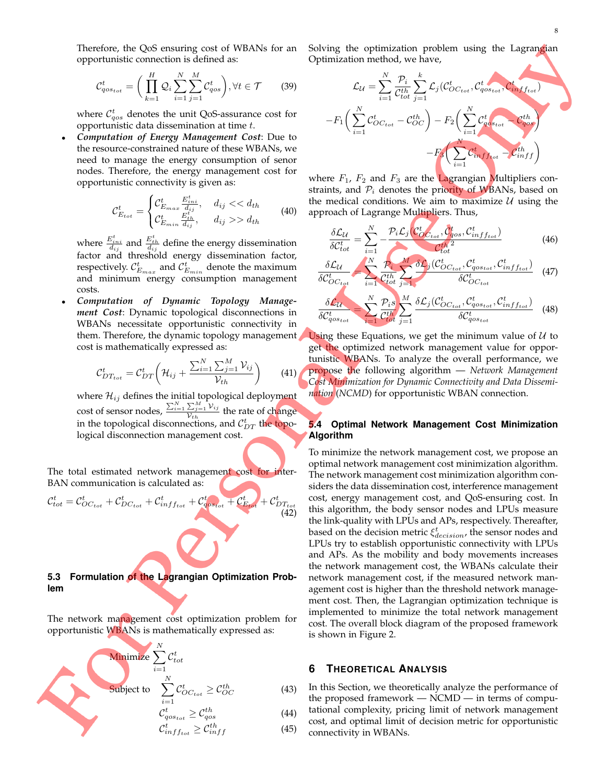Therefore, the QoS ensuring cost of WBANs for an opportunistic connection is defined as:

$$
\mathcal{C}_{qos_{tot}}^t = \bigg(\prod_{k=1}^H \mathcal{Q}_i \sum_{i=1}^N \sum_{j=1}^M \mathcal{C}_{qos}^t\bigg), \forall t \in \mathcal{T} \qquad (39)
$$

where  $\mathcal{C}^t_{qos}$  denotes the unit QoS-assurance cost for opportunistic data dissemination at time t.

• *Computation of Energy Management Cost*: Due to the resource-constrained nature of these WBANs, we need to manage the energy consumption of senor nodes. Therefore, the energy management cost for opportunistic connectivity is given as:

$$
\mathcal{C}_{E_{tot}}^t = \begin{cases} \mathcal{C}_{E_{max}}^t & d_{ij} < < d_{th} \\ \mathcal{C}_{E_{min}}^t & \frac{E_{th}^t}{d_{ij}}, & d_{ij} > > d_{th} \end{cases} \tag{40}
$$

where  $\frac{E_{ini}^t}{d_{ij}}$  and  $\frac{E_{th}^t}{d_{ij}}$  define the energy dissemination factor and threshold energy dissemination factor, respectively.  $\mathcal{C}_{E_{max}}^t$  and  $\mathcal{C}_{E_{min}}^t$  denote the maximum and minimum energy consumption management costs.

• *Computation of Dynamic Topology Management Cost*: Dynamic topological disconnections in WBANs necessitate opportunistic connectivity in them. Therefore, the dynamic topology management cost is mathematically expressed as:

$$
\mathcal{C}_{DT_{tot}}^t = \mathcal{C}_{DT}^t \left( \mathcal{H}_{ij} + \frac{\sum_{i=1}^N \sum_{j=1}^M \mathcal{V}_{ij}}{\mathcal{V}_{th}} \right) \tag{41}
$$

where  $\mathcal{H}_{ij}$  defines the initial topological deployment cost of sensor nodes,  $\frac{\sum_{i=1}^{N} \sum_{j=1}^{M} \mathcal{V}_{ij}}{\mathcal{V}_{ij}}$  $\frac{\sum_{j=1}^{n} r_{ij}}{\mathcal{V}_{th}}$  the rate of change in the topological disconnections, and  $\mathcal{C}_{DT}^t$  the topological disconnection management cost.

The total estimated network management cost for inter-BAN communication is calculated as:

$$
\mathcal{C}_{tot}^t = \mathcal{C}_{OC_{tot}}^t + \mathcal{C}_{DC_{tot}}^t + \mathcal{C}_{inff_{tot}}^t + \mathcal{C}_{qos_{tot}}^t + \mathcal{C}_{E_{tot}}^t + \mathcal{C}_{DT_{tot}}^t
$$
\n(42)

## **5.3 Formulation of the Lagrangian Optimization Problem**

The network management cost optimization problem for opportunistic WBANs is mathematically expressed as:

Minimize 
$$
\sum_{i=1}^{N} C_{tot}^{t}
$$
  
Subject to 
$$
\sum_{i=1}^{N} C_{OC_{tot}}^{t} \ge C_{OC}^{th}
$$
(43)
$$
C_{q_{O_{tot}}}^{t} \ge C_{q_{O_{S}}}^{th}
$$
(44)

$$
\mathcal{C}_{inff_{tot}}^t \geq \mathcal{C}_{inff}^{th} \tag{45}
$$

Solving the optimization problem using the Lagrangian Optimization method, we have,

$$
\mathcal{L}_{\mathcal{U}} = \sum_{i=1}^{N} \frac{\mathcal{P}_{i}}{\mathcal{C}_{tot}^{th}} \sum_{j=1}^{k} \mathcal{L}_{j}(\mathcal{C}_{OC_{tot}}^{t}, \mathcal{C}_{qos_{tot}}^{t}, \mathcal{C}_{inff_{tot}}^{t})
$$

$$
-F_{1}\left(\sum_{i=1}^{N} \mathcal{C}_{OC_{tot}}^{t} - \mathcal{C}_{OC}^{th}\right) - F_{2}\left(\sum_{i=1}^{N} \mathcal{C}_{qos_{tot}}^{t} - \mathcal{C}_{qos}^{th}\right)
$$

$$
-F_{3}\left(\sum_{i=1}^{N} \mathcal{C}_{inff_{tot}}^{t} - \mathcal{C}_{inff}^{th}\right)
$$

where  $F_1$ ,  $F_2$  and  $F_3$  are the Lagrangian Multipliers constraints, and  $P_i$  denotes the priority of WBANs, based on the medical conditions. We aim to maximize  $U$  using the approach of Lagrange Multipliers. Thus,

$$
\frac{\delta \mathcal{L}_{\mathcal{U}}}{\delta \mathcal{C}_{tot}^t} = \sum_{i=1}^{N} -\frac{\mathcal{P}_i \mathcal{L}_j (\mathcal{C}_{\mathcal{O}_{\mathcal{C}_{tot}}}^t, \mathcal{C}_{qos}^t, \mathcal{C}_{\inf f_{tot}}^t)}{\mathcal{C}_{tot}^{th}} \tag{46}
$$

$$
\frac{\delta \mathcal{L}_{\mathcal{U}}}{\delta \mathcal{C}_{OC_{tot}}^t} = \sum_{i=1}^{N} \frac{\mathcal{P}_i}{\mathcal{C}_{tot}^{th}} \sum_{j=1}^{M} \frac{\delta \mathcal{L}_j(\mathcal{C}_{OC_{tot}}^t, \mathcal{C}_{q_{OSt_{tot}}}^t, \mathcal{C}_{inff_{tot}}^t)}{\delta \mathcal{C}_{OC_{tot}}^t} \tag{47}
$$

$$
\frac{\delta \mathcal{L}_{\mathcal{U}}}{\delta \mathcal{C}_{qos_{tot}}^t} = \sum_{i=1}^{N} \frac{\mathcal{P}_{i} s}{\mathcal{C}_{tot}^{th}} \sum_{j=1}^{M} \frac{\delta \mathcal{L}_{j}(\mathcal{C}_{OC_{tot}}^t, \mathcal{C}_{qos_{tot}}^t, \mathcal{C}_{inff_{tot}}^t)}{\delta \mathcal{C}_{qos_{tot}}^t} \tag{48}
$$

Using these Equations, we get the minimum value of  $U$  to get the optimized network management value for opportunistic WBANs. To analyze the overall performance, we propose the following algorithm — *Network Management Cost Minimization for Dynamic Connectivity and Data Dissemination* (*NCMD*) for opportunistic WBAN connection.

## **5.4 Optimal Network Management Cost Minimization Algorithm**

To minimize the network management cost, we propose an optimal network management cost minimization algorithm. The network management cost minimization algorithm considers the data dissemination cost, interference management cost, energy management cost, and QoS-ensuring cost. In this algorithm, the body sensor nodes and LPUs measure the link-quality with LPUs and APs, respectively. Thereafter, based on the decision metric  $\xi_{decision}^{t}$ , the sensor nodes and LPUs try to establish opportunistic connectivity with LPUs and APs. As the mobility and body movements increases the network management cost, the WBANs calculate their network management cost, if the measured network management cost is higher than the threshold network management cost. Then, the Lagrangian optimization technique is implemented to minimize the total network management cost. The overall block diagram of the proposed framework is shown in Figure 2.

## **6 THEORETICAL ANALYSIS**

In this Section, we theoretically analyze the performance of the proposed framework — NCMD — in terms of computational complexity, pricing limit of network management cost, and optimal limit of decision metric for opportunistic connectivity in WBANs.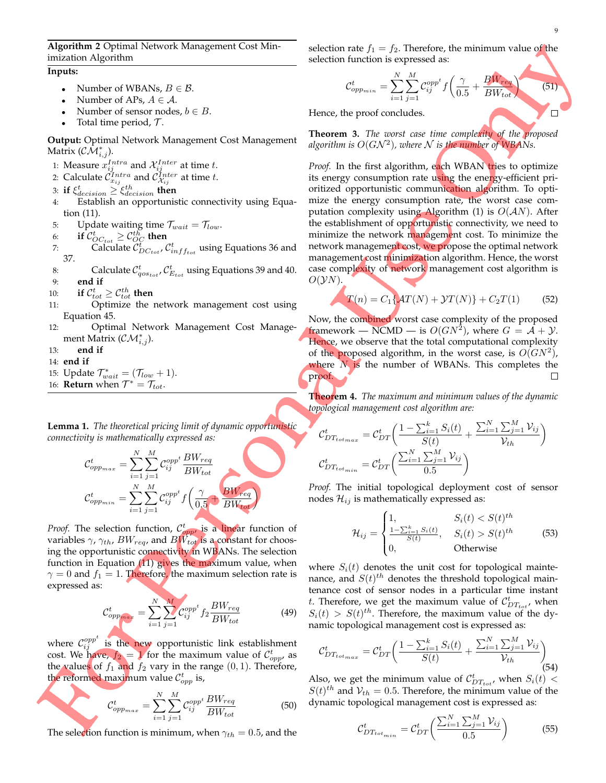**Algorithm 2** Optimal Network Management Cost Minimization Algorithm

## **Inputs:**

- Number of WBANs,  $B \in \mathcal{B}$ .
- Number of APs,  $A \in \mathcal{A}$ .
- Number of sensor nodes,  $b \in B$ .
- Total time period,  $\mathcal{T}$ .

**Output:** Optimal Network Management Cost Management Matrix ( $\mathcal{CM}^*_{i,j}$ ).

- 1: Measure  $x_{ij}^{Intra}$  and  $\mathcal{X}_{ij}^{Inter}$  at time t.
- 2: Calculate  $\mathcal{C}_{x_{ij}}^{Intro}$  and  $\mathcal{C}_{\mathcal{X}_{ij}}^{Inter}$  at time t.
- 3: **if**  $\xi_{decision}^t \geq \xi_{decision}^{th}$  then
- 4: Establish an opportunistic connectivity using Equation (11).
- 5: Update waiting time  $\mathcal{T}_{wait} = \mathcal{T}_{low}$ .
- 6: **if**  $\mathcal{C}_{OC_{tot}}^{t} \geq \mathcal{C}_{OC}^{th}$  then
- 7: Calculate  $\tilde{\mathcal{C}}_{DC_{tot}}^{\bar{t}}$ ,  $\mathcal{C}_{inff_{tot}}^t$  using Equations 36 and 37.
- 8: Calculate  $\mathcal{C}_{qos_{tot}}^t$ ,  $\mathcal{C}_{E_{tot}}^t$  using Equations 39 and 40. 9: **end if**
- 10: **if**  $C_{tot}^t \ge C_{tot}^{th}$  then
- 11: Optimize the network management cost using Equation 45.
- 12: Optimal Network Management Cost Management Matrix ( $\mathcal{CM}^*_{i,j}$ ).
- 13: **end if**
- 14: **end if**
- 15: Update  $\mathcal{T}_{wait}^* = (\mathcal{T}_{low} + 1)$ .
- 16: **Return** when  $T^* = T_{tot}$ .

**Lemma 1.** *The theoretical pricing limit of dynamic opportunistic connectivity is mathematically expressed as:*

$$
\mathcal{C}_{opp_{max}}^t = \sum_{i=1}^N \sum_{j=1}^M \mathcal{C}_{ij}^{opp^t} \frac{BW_{req}}{BW_{tot}}
$$
\n
$$
\mathcal{C}_{opp_{min}}^t = \sum_{i=1}^N \sum_{j=1}^M \mathcal{C}_{ij}^{opp^t} f\left(\frac{\gamma}{0.5} + \frac{BW_{req}}{BW_{tot}}\right)
$$

*Proof.* The selection function,  $C_{opp}^t$  is a linear function of variables  $\gamma$ ,  $\gamma_{th}$ ,  $BW_{req}$ , and  $BW_{tot}$  is a constant for choosing the opportunistic connectivity in WBANs. The selection function in Equation  $(11)$  gives the maximum value, when  $\gamma = 0$  and  $f_1 = 1$ . Therefore, the maximum selection rate is expressed as:

$$
\mathcal{C}_{oppmax}^t = \sum_{i=1}^N \sum_{j=1}^M \mathcal{C}_{ij}^{opp^t} f_2 \frac{BW_{req}}{BW_{tot}} \tag{49}
$$

where  $\mathcal{C}_{ij}^{opp^t}$  is the new opportunistic link establishment cost. We have,  $f_2 = 1$  for the maximum value of  $\mathcal{C}^t_{opp}$ , as the values of  $f_1$  and  $f_2$  vary in the range  $(0, 1)$ . Therefore, the reformed maximum value  $\mathcal{C}^t_{opp}$  is,

$$
\mathcal{C}_{opp_{max}}^t = \sum_{i=1}^N \sum_{j=1}^M \mathcal{C}_{ij}^{opp^t} \frac{BW_{req}}{BW_{tot}} \tag{50}
$$

The selection function is minimum, when  $\gamma_{th} = 0.5$ , and the

selection rate  $f_1 = f_2$ . Therefore, the minimum value of the selection function is expressed as:

$$
\mathcal{C}_{opp_{min}}^t = \sum_{i=1}^N \sum_{j=1}^M \mathcal{C}_{ij}^{opp^t} f\left(\frac{\gamma}{0.5} + \frac{BW_{req}}{BW_{tot}}\right)
$$
(51)

Hence, the proof concludes.

**Theorem 3.** *The worst case time complexity of the proposed* algorithm is  $O(G{\cal N}^2)$ , where  ${\cal N}$  is the number of WBANs.

*Proof.* In the first algorithm, each WBAN tries to optimize its energy consumption rate using the energy-efficient prioritized opportunistic communication algorithm. To optimize the energy consumption rate, the worst case computation complexity using Algorithm (1) is  $O(AN)$ . After the establishment of opportunistic connectivity, we need to minimize the network management cost. To minimize the network management cost, we propose the optimal network management cost minimization algorithm. Hence, the worst case complexity of network management cost algorithm is  $O(\mathcal{Y}N)$ .

$$
T(n) = C_1 \{ \mathcal{A}T(N) + \mathcal{Y}T(N) \} + C_2 T(1) \tag{52}
$$

Now, the combined worst case complexity of the proposed framework — NCMD — is  $O(GN^2)$ , where  $G = \overline{\mathcal{A}} + \mathcal{Y}$ . Hence, we observe that the total computational complexity of the proposed algorithm, in the worst case, is  $O(GN^2)$ , where  $N$  is the number of WBANs. This completes the proof. П

**Theorem 4.** *The maximum and minimum values of the dynamic topological management cost algorithm are:*

$$
\mathcal{C}_{DT_{tot_{max}}}^{t} = \mathcal{C}_{DT}^{t} \bigg( \frac{1 - \sum_{i=1}^{k} S_{i}(t)}{S(t)} + \frac{\sum_{i=1}^{N} \sum_{j=1}^{M} \mathcal{V}_{ij}}{\mathcal{V}_{th}} \bigg)
$$

$$
\mathcal{C}_{DT_{tot_{min}}}^{t} = \mathcal{C}_{DT}^{t} \bigg( \frac{\sum_{i=1}^{N} \sum_{j=1}^{M} \mathcal{V}_{ij}}{0.5} \bigg)
$$

*Proof.* The initial topological deployment cost of sensor nodes  $\mathcal{H}_{ij}$  is mathematically expressed as:

$$
\mathcal{H}_{ij} = \begin{cases}\n1, & S_i(t) < S(t)^{th} \\
\frac{1 - \sum_{i=1}^k S_i(t)}{S(t)}, & S_i(t) > S(t)^{th} \\
0, & \text{Otherwise}\n\end{cases} \tag{53}
$$

where  $S_i(t)$  denotes the unit cost for topological maintenance, and  $S(t)^{th}$  denotes the threshold topological maintenance cost of sensor nodes in a particular time instant t. Therefore, we get the maximum value of  $\mathcal{C}_{DT_{tot}}^{t}$ , when  $S_i(t) > S(t)^{th}$ . Therefore, the maximum value of the dynamic topological management cost is expressed as:

$$
C_{DT_{tot_{max}}}^{t} = C_{DT}^{t} \bigg( \frac{1 - \sum_{i=1}^{k} S_{i}(t)}{S(t)} + \frac{\sum_{i=1}^{N} \sum_{j=1}^{M} \mathcal{V}_{ij}}{\mathcal{V}_{th}} \bigg) (54)
$$

Also, we get the minimum value of  $\mathcal{C}_{DT_{tot}}^{t}$ , when  $S_i(t)$  <  $S(t)$ <sup>th</sup> and  $V_{th} = 0.5$ . Therefore, the minimum value of the dynamic topological management cost is expressed as:

$$
\mathcal{C}_{DT_{tot_{min}}}^{t} = \mathcal{C}_{DT}^{t} \bigg( \frac{\sum_{i=1}^{N} \sum_{j=1}^{M} \mathcal{V}_{ij}}{0.5} \bigg)
$$
 (55)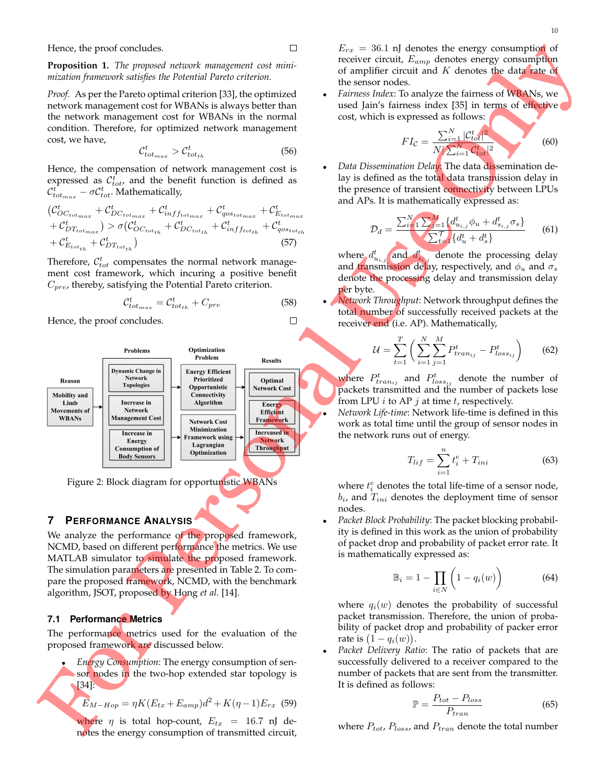**Proposition 1.** *The proposed network management cost minimization framework satisfies the Potential Pareto criterion.*

*Proof.* As per the Pareto optimal criterion [33], the optimized network management cost for WBANs is always better than the network management cost for WBANs in the normal condition. Therefore, for optimized network management cost, we have,

$$
\mathcal{C}_{tot_{max}}^t > \mathcal{C}_{tot_{th}}^t \tag{56}
$$

Hence, the compensation of network management cost is expressed as  $\mathcal{C}_{tot}^{\bar{t}}$ , and the benefit function is defined as  $\mathcal{C}^t_{tot_{max}}-\sigma \mathcal{C}^t_{tot}.$  Mathematically,

$$
(C_{OC_{tot_{max}}}^t + C_{DC_{tot_{max}}}^t + C_{inff_{tot_{max}}}^t + C_{q_{O_{tot_{max}}}^t + C_{E_{tot_{max}}}^t + C_{D_{tot_{max}}}^t) > \sigma(C_{OC_{tot_{th}}}^t + C_{DC_{tot_{th}}}^t + C_{inff_{tot_{th}}}^t + C_{q_{O_{tot_{th}}}^t + C_{E_{tot_{th}}}^t)
$$
\n
$$
+ C_{E_{tot_{th}}}^t + C_{DT_{tot_{th}}}^t)
$$
\n
$$
(57)
$$

Therefore,  $\mathcal{C}_{tot}^{t}$  compensates the normal network management cost framework, which incuring a positive benefit  $C_{pre}$ , thereby, satisfying the Potential Pareto criterion.

$$
\mathcal{C}_{tot_{max}}^t = \mathcal{C}_{tot_{th}}^t + C_{pre} \tag{58}
$$

Hence, the proof concludes.



Figure 2: Block diagram for opportunistic WBANs

## **7 PERFORMANCE ANALYSIS**

We analyze the performance of the proposed framework, NCMD, based on different performance the metrics. We use MATLAB simulator to simulate the proposed framework. The simulation parameters are presented in Table 2. To compare the proposed framework, NCMD, with the benchmark algorithm, JSOT, proposed by Hong *et al.* [14].

#### **7.1 Performance Metrics**

The performance metrics used for the evaluation of the proposed framework are discussed below.

• *Energy Consumption*: The energy consumption of sensor nodes in the two-hop extended star topology is [34]:

$$
E_{M-Hop} = \eta K (E_{tx} + E_{amp}) d^2 + K(\eta - 1) E_{rx} \tag{59}
$$

where  $\eta$  is total hop-count,  $E_{tx}$  = 16.7 nJ denotes the energy consumption of transmitted circuit,  $E_{rx}$  = 36.1 nJ denotes the energy consumption of receiver circuit,  $E_{amp}$  denotes energy consumption of amplifier circuit and  $K$  denotes the data rate of the sensor nodes.

• *Fairness Index*: To analyze the fairness of WBANs, we used Jain's fairness index [35] in terms of effective cost, which is expressed as follows:

$$
FI_{\mathcal{C}} = \frac{\sum_{i=1}^{N} |\mathcal{C}_{tot}^t|^2}{N \sum_{i=1}^{N} \mathcal{C}_{tot}^t|^2}
$$
(60)

• *Data Dissemination Delay*: The data dissemination delay is defined as the total data transmission delay in the presence of transient connectivity between LPUs and APs. It is mathematically expressed as:

$$
\mathcal{D}_d = \frac{\sum_{i=1}^{N} \sum_{j=1}^{M} \{d_{u_{i,j}}^t \phi_u + d_{s_{i,j}}^t \sigma_s\}}{\sum_{t=1}^{T} \{d_u^t + d_s^t\}}
$$
(61)

where  $d_{u_{i,j}}^t$  and  $d_{s_{i,j}}^t$  denote the processing delay and transmission delay, respectively, and  $\phi_u$  and  $\sigma_s$ denote the processing delay and transmission delay per byte.

• *Network Throughput*: Network throughput defines the total number of successfully received packets at the receiver end (i.e. AP). Mathematically,

$$
\mathcal{U} = \sum_{t=1}^{T} \left( \sum_{i=1}^{N} \sum_{j=1}^{M} P_{train_{ij}}^{t} - P_{loss_{ij}}^{t} \right) \tag{62}
$$

where  $P_{train_{ij}}^t$  and  $P_{loss_{ij}}^t$  denote the number of packets transmitted and the number of packets lose from LPU  $i$  to AP  $j$  at time  $t$ , respectively.

• *Network Life-time*: Network life-time is defined in this work as total time until the group of sensor nodes in the network runs out of energy.

$$
T_{lif} = \sum_{i=1}^{n} t_i^e + T_{ini}
$$
 (63)

where  $t_i^e$  denotes the total life-time of a sensor node,  $b_i$ , and  $T_{ini}$  denotes the deployment time of sensor nodes.

• *Packet Block Probability*: The packet blocking probability is defined in this work as the union of probability of packet drop and probability of packet error rate. It is mathematically expressed as:

$$
\mathbb{B}_i = 1 - \prod_{i \in N} \left( 1 - q_i(w) \right) \tag{64}
$$

where  $q_i(w)$  denotes the probability of successful packet transmission. Therefore, the union of probability of packet drop and probability of packer error rate is  $(1-q_i(w))$ .

• *Packet Delivery Ratio*: The ratio of packets that are successfully delivered to a receiver compared to the number of packets that are sent from the transmitter. It is defined as follows:

$$
\mathbb{P} = \frac{P_{tot} - P_{loss}}{P_{tran}}\tag{65}
$$

where  $P_{tot}$ ,  $P_{loss}$ , and  $P_{tran}$  denote the total number

 $\Box$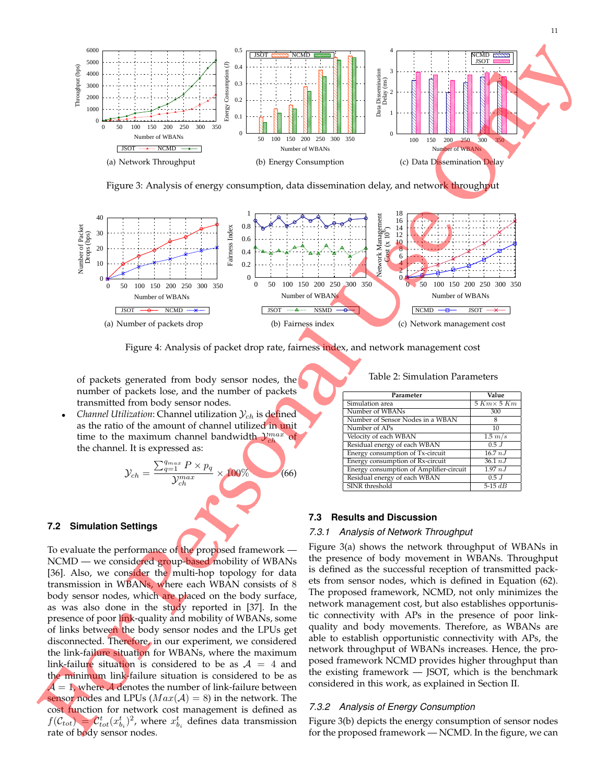

Figure 3: Analysis of energy consumption, data dissemination delay, and network throughput



Figure 4: Analysis of packet drop rate, fairness index, and network management cost

of packets generated from body sensor nodes, the number of packets lose, and the number of packets transmitted from body sensor nodes.

*Channel Utilization:* Channel utilization  $\mathcal{Y}_{ch}$  is defined as the ratio of the amount of channel utilized in unit time to the maximum channel bandwidth  $\mathcal{Y}_{ch}^{max}$  of the channel. It is expressed as:

$$
\mathcal{Y}_{ch} = \frac{\sum_{q=1}^{q_{max}} P \times p_q}{\mathcal{Y}_{ch}^{max}} \times 100\%
$$
 (66)

#### **7.2 Simulation Settings**

To evaluate the performance of the proposed framework — NCMD — we considered group-based mobility of WBANs [36]. Also, we consider the multi-hop topology for data transmission in WBANs, where each WBAN consists of 8 body sensor nodes, which are placed on the body surface, as was also done in the study reported in [37]. In the presence of poor link-quality and mobility of WBANs, some of links between the body sensor nodes and the LPUs get disconnected. Therefore, in our experiment, we considered the link-failure situation for WBANs, where the maximum link-failure situation is considered to be as  $A = 4$  and the minimum link-failure situation is considered to be as  $A = 1$ , where A denotes the number of link-failure between sensor nodes and LPUs ( $Max(A) = 8$ ) in the network. The cost function for network cost management is defined as  $f(\mathcal{C}_{tot}) = \mathcal{C}_{tot}^t(x_{b_i}^t)^2$ , where  $x_{b_i}^t$  defines data transmission rate of body sensor nodes.

#### Table 2: Simulation Parameters

| Parameter                               | Value              |
|-----------------------------------------|--------------------|
| Simulation area                         | $5 Km \times 5 Km$ |
| Number of WBANs                         | 300                |
| Number of Sensor Nodes in a WBAN        | 8                  |
| Number of APs                           | 10                 |
| Velocity of each WBAN                   | $1.5 \ m/s$        |
| Residual energy of each WBAN            | 0.5J               |
| Energy consumption of Tx-circuit        | 16.7 nJ            |
| Energy consumption of Rx-circuit        | 36.1 nJ            |
| Energy consumption of Amplifier-circuit | 1.97 nJ            |
| Residual energy of each WBAN            | 0.5J               |
| SINR threshold                          | 5-15 $dB$          |

#### **7.3 Results and Discussion**

#### *7.3.1 Analysis of Network Throughput*

Figure 3(a) shows the network throughput of WBANs in the presence of body movement in WBANs. Throughput is defined as the successful reception of transmitted packets from sensor nodes, which is defined in Equation (62). The proposed framework, NCMD, not only minimizes the network management cost, but also establishes opportunistic connectivity with APs in the presence of poor linkquality and body movements. Therefore, as WBANs are able to establish opportunistic connectivity with APs, the network throughput of WBANs increases. Hence, the proposed framework NCMD provides higher throughput than the existing framework — JSOT, which is the benchmark considered in this work, as explained in Section II.

## *7.3.2 Analysis of Energy Consumption*

Figure 3(b) depicts the energy consumption of sensor nodes for the proposed framework — NCMD. In the figure, we can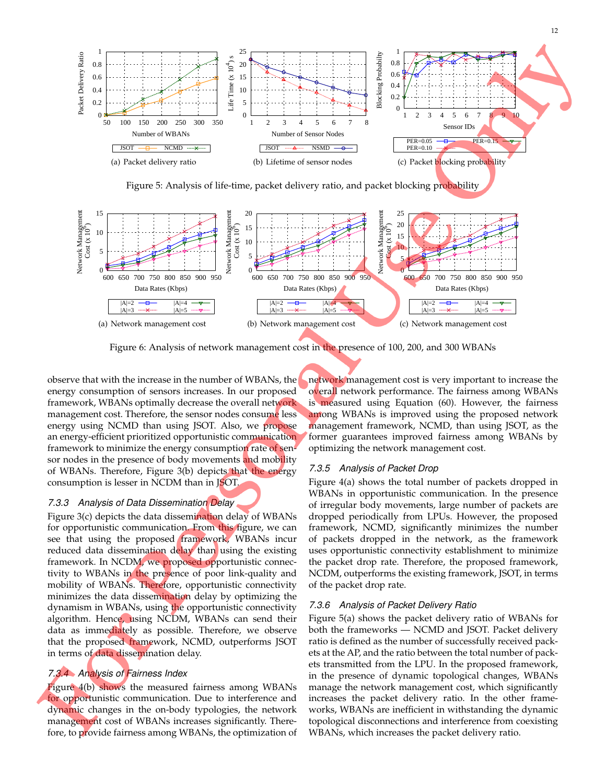12



Figure 6: Analysis of network management cost in the presence of 100, 200, and 300 WBANs

observe that with the increase in the number of WBANs, the energy consumption of sensors increases. In our proposed framework, WBANs optimally decrease the overall network management cost. Therefore, the sensor nodes consume less energy using NCMD than using JSOT. Also, we propose an energy-efficient prioritized opportunistic communication framework to minimize the energy consumption rate of sensor nodes in the presence of body movements and mobility of WBANs. Therefore, Figure 3(b) depicts that the energy consumption is lesser in NCDM than in JSOT.

## *7.3.3 Analysis of Data Dissemination Delay*

Figure 3(c) depicts the data dissemination delay of WBANs for opportunistic communication. From this figure, we can see that using the proposed framework, WBANs incur reduced data dissemination delay than using the existing framework. In NCDM, we proposed opportunistic connectivity to WBANs in the presence of poor link-quality and mobility of WBANs. Therefore, opportunistic connectivity minimizes the data dissemination delay by optimizing the dynamism in WBANs, using the opportunistic connectivity algorithm. Hence, using NCDM, WBANs can send their data as immediately as possible. Therefore, we observe that the proposed framework, NCMD, outperforms JSOT in terms of data dissemination delay.

## *7.3.4 Analysis of Fairness Index*

Figure 4(b) shows the measured fairness among WBANs for opportunistic communication. Due to interference and dynamic changes in the on-body typologies, the network management cost of WBANs increases significantly. Therefore, to provide fairness among WBANs, the optimization of network management cost is very important to increase the overall network performance. The fairness among WBANs is measured using Equation (60). However, the fairness among WBANs is improved using the proposed network management framework, NCMD, than using JSOT, as the former guarantees improved fairness among WBANs by optimizing the network management cost.

## *7.3.5 Analysis of Packet Drop*

Figure 4(a) shows the total number of packets dropped in WBANs in opportunistic communication. In the presence of irregular body movements, large number of packets are dropped periodically from LPUs. However, the proposed framework, NCMD, significantly minimizes the number of packets dropped in the network, as the framework uses opportunistic connectivity establishment to minimize the packet drop rate. Therefore, the proposed framework, NCDM, outperforms the existing framework, JSOT, in terms of the packet drop rate.

## *7.3.6 Analysis of Packet Delivery Ratio*

Figure 5(a) shows the packet delivery ratio of WBANs for both the frameworks — NCMD and JSOT. Packet delivery ratio is defined as the number of successfully received packets at the AP, and the ratio between the total number of packets transmitted from the LPU. In the proposed framework, in the presence of dynamic topological changes, WBANs manage the network management cost, which significantly increases the packet delivery ratio. In the other frameworks, WBANs are inefficient in withstanding the dynamic topological disconnections and interference from coexisting WBANs, which increases the packet delivery ratio.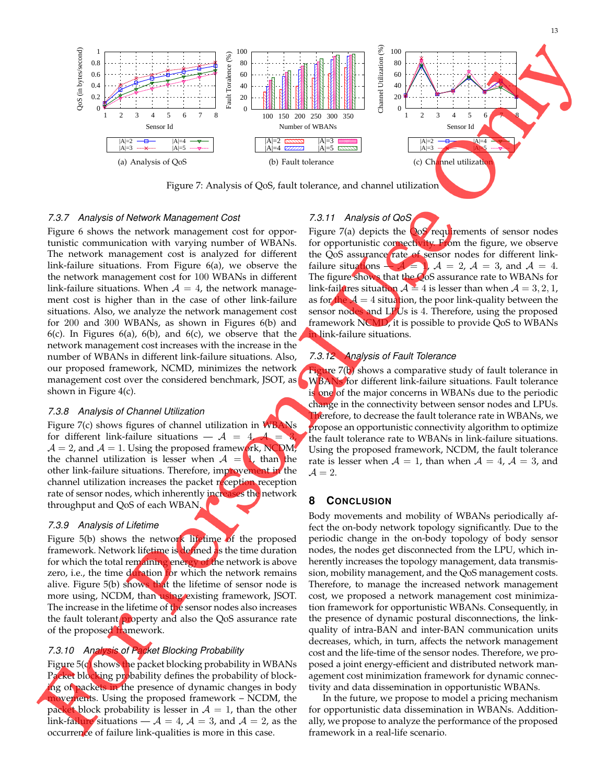

Figure 7: Analysis of QoS, fault tolerance, and channel utilization

## *7.3.7 Analysis of Network Management Cost*

Figure 6 shows the network management cost for opportunistic communication with varying number of WBANs. The network management cost is analyzed for different link-failure situations. From Figure 6(a), we observe the the network management cost for 100 WBANs in different link-failure situations. When  $A = 4$ , the network management cost is higher than in the case of other link-failure situations. Also, we analyze the network management cost for 200 and 300 WBANs, as shown in Figures 6(b) and 6(c). In Figures 6(a), 6(b), and 6(c), we observe that the network management cost increases with the increase in the number of WBANs in different link-failure situations. Also, our proposed framework, NCMD, minimizes the network shown in Figure 4(c).

## *7.3.8 Analysis of Channel Utilization*

Figure 7(c) shows figures of channel utilization in WBANs for different link-failure situations  $- A = 4, A =$  $A = 2$ , and  $A = 1$ . Using the proposed framework, NCDM, the channel utilization is lesser when  $A = 1$ , than the other link-failure situations. Therefore, improvement in the channel utilization increases the packet reception reception rate of sensor nodes, which inherently increases the network throughput and QoS of each WBAN.

## *7.3.9 Analysis of Lifetime*

Figure 5(b) shows the network lifetime of the proposed framework. Network lifetime is defined as the time duration for which the total remaining energy of the network is above zero, i.e., the time duration for which the network remains alive. Figure  $5(b)$  shows that the lifetime of sensor node is more using, NCDM, than using existing framework, JSOT. The increase in the lifetime of the sensor nodes also increases the fault tolerant property and also the QoS assurance rate of the proposed framework.

# *7.3.10 Analysis of Packet Blocking Probability*

Figure  $5(d)$  shows the packet blocking probability in WBANs Packet blocking probability defines the probability of blocking of packets in the presence of dynamic changes in body movements. Using the proposed framework – NCDM, the packet block probability is lesser in  $A = 1$ , than the other link-failure situations —  $A = 4$ ,  $A = 3$ , and  $A = 2$ , as the occurrence of failure link-qualities is more in this case.

Figure  $7(a)$  depicts the  $\cos$  requirements of sensor nodes for opportunistic connectivity. From the figure, we observe the QoS assurance rate of sensor nodes for different linkfailure situations  $-\mathcal{A} = 1$ ,  $\mathcal{A} = 2$ ,  $\mathcal{A} = 3$ , and  $\mathcal{A} = 4$ . The figure shows that the QoS assurance rate to WBANs for link-failures situation  $A = 4$  is lesser than when  $A = 3, 2, 1$ , as for the  $A = 4$  situation, the poor link-quality between the sensor nodes and LPUs is 4. Therefore, using the proposed framework NCMD, it is possible to provide QoS to WBANs **in** link-failure situations.

# *7.3.12 Analysis of Fault Tolerance*

*7.3.11 Analysis of QoS*

management cost over the considered benchmark, JSOT, as **NBANs** for different link-failure situations. Fault tolerance Figure 7(b) shows a comparative study of fault tolerance in is one of the major concerns in WBANs due to the periodic change in the connectivity between sensor nodes and LPUs. Therefore, to decrease the fault tolerance rate in WBANs, we propose an opportunistic connectivity algorithm to optimize the fault tolerance rate to WBANs in link-failure situations. Using the proposed framework, NCDM, the fault tolerance rate is lesser when  $A = 1$ , than when  $A = 4$ ,  $A = 3$ , and  $\mathcal{A}=2.$ 

# **8 CONCLUSION**

Body movements and mobility of WBANs periodically affect the on-body network topology significantly. Due to the periodic change in the on-body topology of body sensor nodes, the nodes get disconnected from the LPU, which inherently increases the topology management, data transmission, mobility management, and the QoS management costs. Therefore, to manage the increased network management cost, we proposed a network management cost minimization framework for opportunistic WBANs. Consequently, in the presence of dynamic postural disconnections, the linkquality of intra-BAN and inter-BAN communication units decreases, which, in turn, affects the network management cost and the life-time of the sensor nodes. Therefore, we proposed a joint energy-efficient and distributed network management cost minimization framework for dynamic connectivity and data dissemination in opportunistic WBANs.

In the future, we propose to model a pricing mechanism for opportunistic data dissemination in WBANs. Additionally, we propose to analyze the performance of the proposed framework in a real-life scenario.